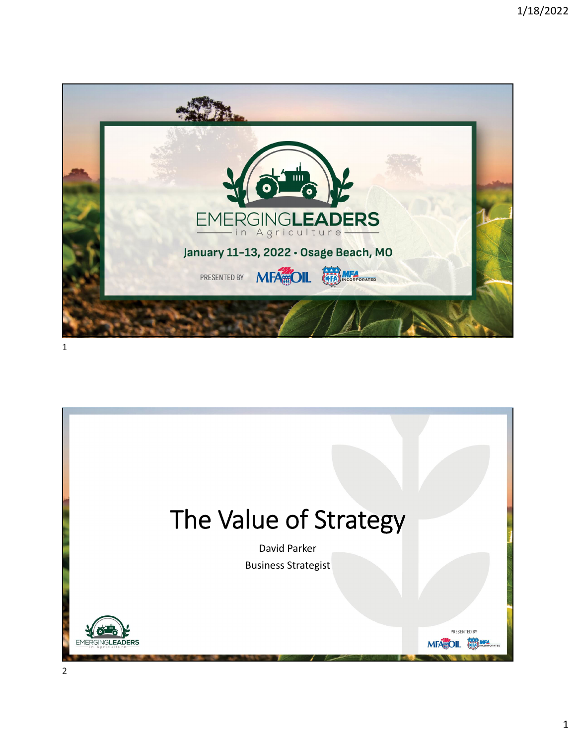

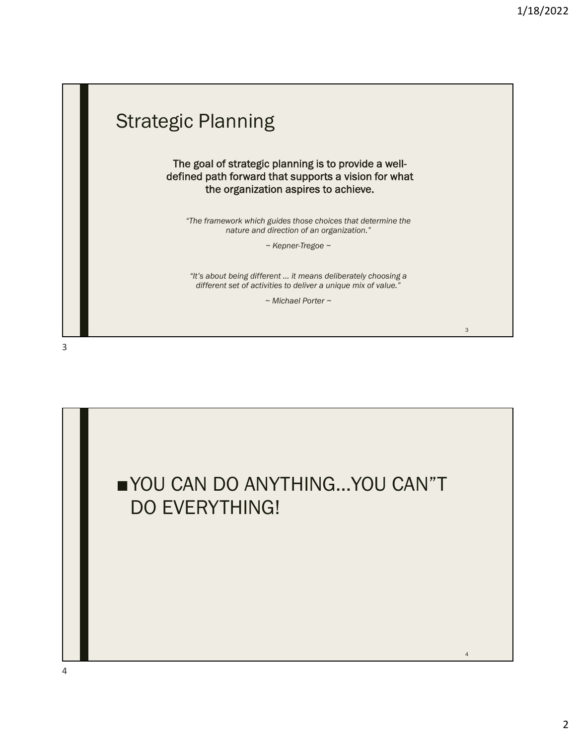

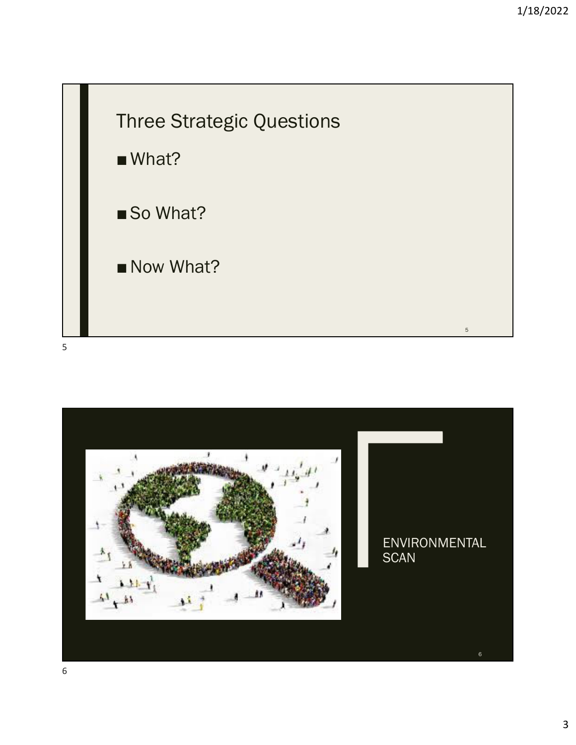

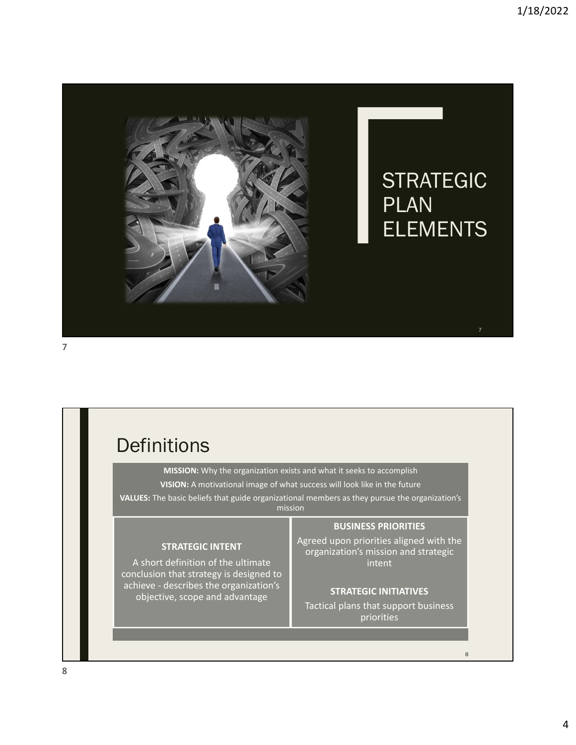

## **Definitions MISSION:** Why the organization exists and what it seeks to accomplish **VISION:** A motivational image of what success will look like in the future **VALUES:** The basic beliefs that guide organizational members as they pursue the organization's mission **STRATEGIC INTENT** A short definition of the ultimate conclusion that strategy is designed to achieve ‐ describes the organization's objective, scope and advantage **BUSINESS PRIORITIES** Agreed upon priorities aligned with the organization's mission and strategic intent **STRATEGIC INITIATIVES** Tactical plans that support business priorities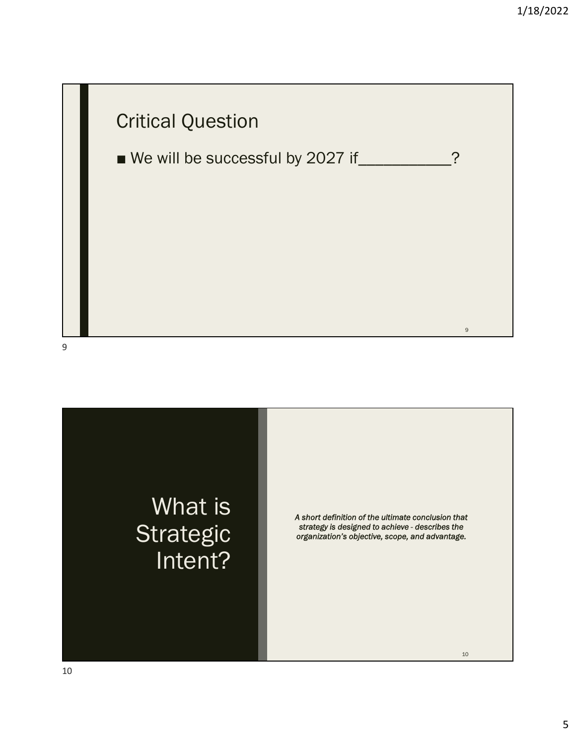



*A short definition of the ultimate conclusion that strategy is designed to achieve - describes the organization's objective, scope, and advantage.*

10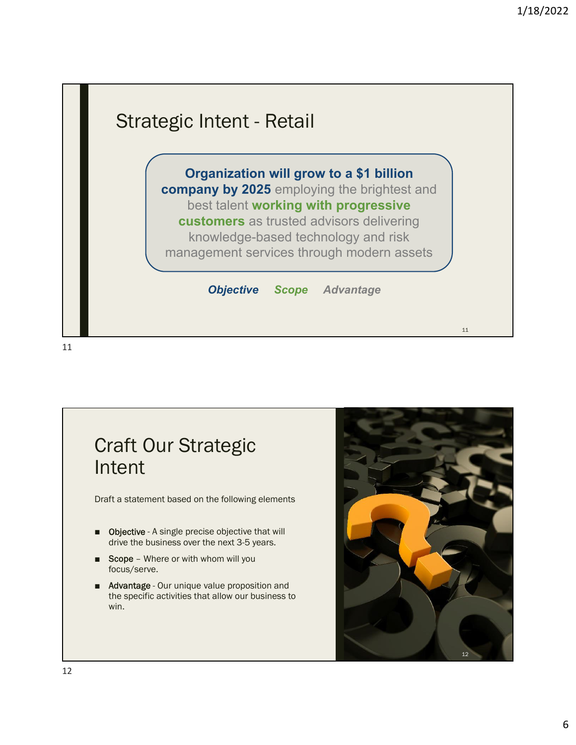

## Craft Our Strategic Intent

Draft a statement based on the following elements

- Objective A single precise objective that will drive the business over the next 3-5 years.
- Scope Where or with whom will you focus/serve.
- Advantage Our unique value proposition and the specific activities that allow our business to win.

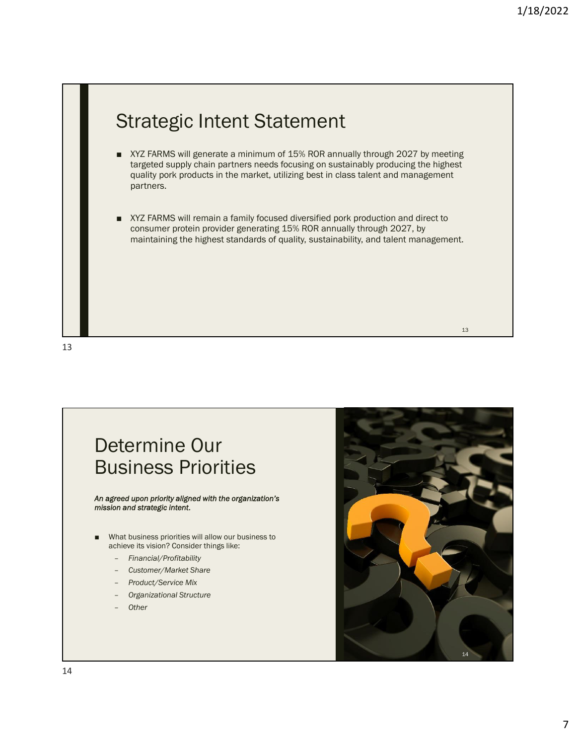

13

## Determine Our Business Priorities

## *An agreed upon priority aligned with the organization's mission and strategic intent*.

- What business priorities will allow our business to achieve its vision? Consider things like:
	- *Financial/Profitability*
	- *Customer/Market Share*
	- *Product/Service Mix*
	- *Organizational Structure*
	- *Other*

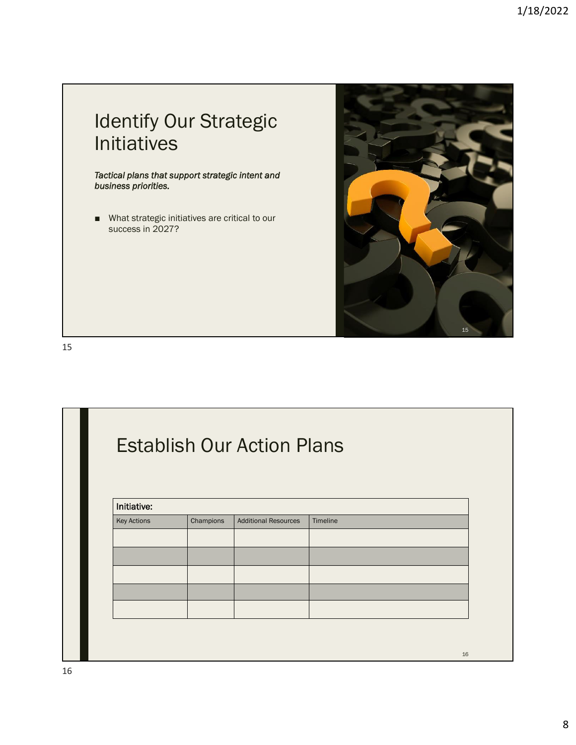

15

| <b>Establish Our Action Plans</b><br>Initiative: |  |  |  |
|--------------------------------------------------|--|--|--|
|                                                  |  |  |  |
|                                                  |  |  |  |
|                                                  |  |  |  |
|                                                  |  |  |  |
|                                                  |  |  |  |
|                                                  |  |  |  |
|                                                  |  |  |  |